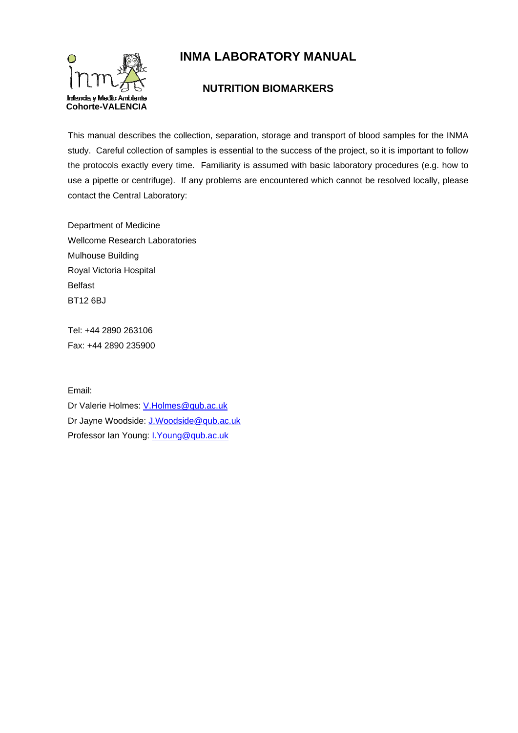

# **INMA LABORATORY MANUAL**

# **NUTRITION BIOMARKERS**

This manual describes the collection, separation, storage and transport of blood samples for the INMA study. Careful collection of samples is essential to the success of the project, so it is important to follow the protocols exactly every time. Familiarity is assumed with basic laboratory procedures (e.g. how to use a pipette or centrifuge). If any problems are encountered which cannot be resolved locally, please contact the Central Laboratory:

Department of Medicine Wellcome Research Laboratories Mulhouse Building Royal Victoria Hospital Belfast BT12 6BJ

Tel: +44 2890 263106 Fax: +44 2890 235900

Email:

Dr Valerie Holmes: V.Holmes@qub.ac.uk Dr Jayne Woodside: J.Woodside@qub.ac.uk Professor Ian Young: I.Young@qub.ac.uk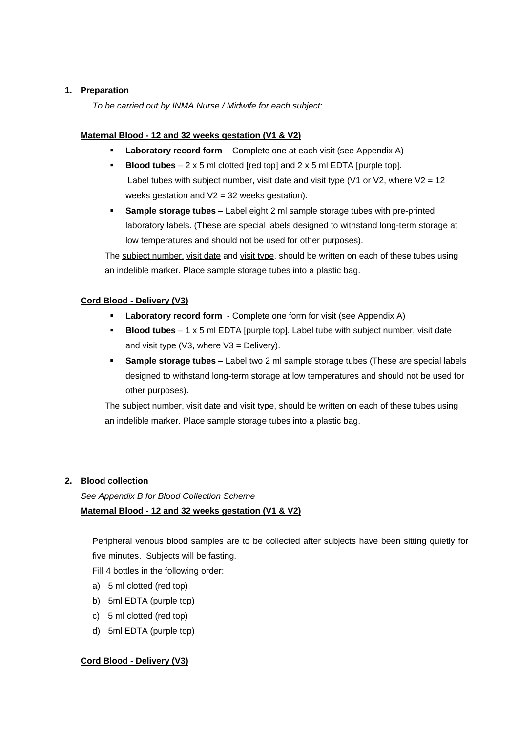### **1. Preparation**

*To be carried out by INMA Nurse / Midwife for each subject:* 

### **Maternal Blood - 12 and 32 weeks gestation (V1 & V2)**

- **Laboratory record form** Complete one at each visit (see Appendix A)
- **Blood tubes** 2 x 5 ml clotted [red top] and 2 x 5 ml EDTA [purple top]. Label tubes with subject number, visit date and visit type (V1 or V2, where  $V2 = 12$ weeks gestation and V2 = 32 weeks gestation).
- **Sample storage tubes** Label eight 2 ml sample storage tubes with pre-printed laboratory labels. (These are special labels designed to withstand long-term storage at low temperatures and should not be used for other purposes).

The subject number, visit date and visit type, should be written on each of these tubes using an indelible marker. Place sample storage tubes into a plastic bag.

## **Cord Blood - Delivery (V3)**

- **Laboratory record form** Complete one form for visit (see Appendix A)
- **Blood tubes**  1 x 5 ml EDTA [purple top]. Label tube with subject number, visit date and visit type ( $\sqrt{3}$ , where  $\sqrt{3}$  = Delivery).
- **Sample storage tubes** Label two 2 ml sample storage tubes (These are special labels designed to withstand long-term storage at low temperatures and should not be used for other purposes).

The subject number, visit date and visit type, should be written on each of these tubes using an indelible marker. Place sample storage tubes into a plastic bag.

## **2. Blood collection**

*See Appendix B for Blood Collection Scheme*  **Maternal Blood - 12 and 32 weeks gestation (V1 & V2)** 

Peripheral venous blood samples are to be collected after subjects have been sitting quietly for five minutes. Subjects will be fasting.

Fill 4 bottles in the following order:

- a) 5 ml clotted (red top)
- b) 5ml EDTA (purple top)
- c) 5 ml clotted (red top)
- d) 5ml EDTA (purple top)

## **Cord Blood - Delivery (V3)**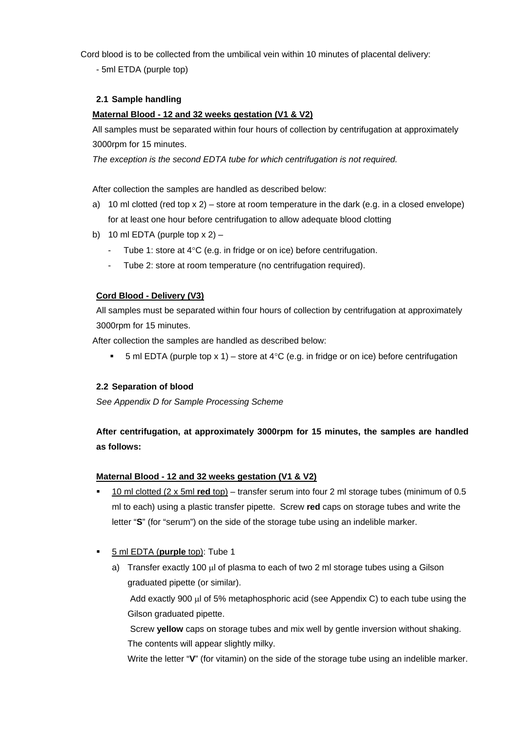Cord blood is to be collected from the umbilical vein within 10 minutes of placental delivery:

- 5ml ETDA (purple top)

#### **2.1 Sample handling**

### **Maternal Blood - 12 and 32 weeks gestation (V1 & V2)**

All samples must be separated within four hours of collection by centrifugation at approximately 3000rpm for 15 minutes.

 *The exception is the second EDTA tube for which centrifugation is not required.* 

After collection the samples are handled as described below:

- a) 10 ml clotted (red top  $x 2$ ) store at room temperature in the dark (e.g. in a closed envelope) for at least one hour before centrifugation to allow adequate blood clotting
- b) 10 ml EDTA (purple top  $x 2$ )
	- Tube 1: store at 4°C (e.g. in fridge or on ice) before centrifugation.
	- Tube 2: store at room temperature (no centrifugation required).

#### **Cord Blood - Delivery (V3)**

All samples must be separated within four hours of collection by centrifugation at approximately 3000rpm for 15 minutes.

After collection the samples are handled as described below:

5 ml EDTA (purple top x 1) – store at 4°C (e.g. in fridge or on ice) before centrifugation

#### **2.2 Separation of blood**

*See Appendix D for Sample Processing Scheme* 

# **After centrifugation, at approximately 3000rpm for 15 minutes, the samples are handled as follows:**

#### **Maternal Blood - 12 and 32 weeks gestation (V1 & V2)**

- 10 ml clotted (2 x 5ml **red** top) transfer serum into four 2 ml storage tubes (minimum of 0.5 ml to each) using a plastic transfer pipette. Screw **red** caps on storage tubes and write the letter "**S**" (for "serum") on the side of the storage tube using an indelible marker.
- 5 ml EDTA (**purple** top): Tube 1
	- a) Transfer exactly 100 μl of plasma to each of two 2 ml storage tubes using a Gilson graduated pipette (or similar).

Add exactly 900 μl of 5% metaphosphoric acid (see Appendix C) to each tube using the Gilson graduated pipette.

Screw **yellow** caps on storage tubes and mix well by gentle inversion without shaking. The contents will appear slightly milky.

Write the letter "**V**" (for vitamin) on the side of the storage tube using an indelible marker.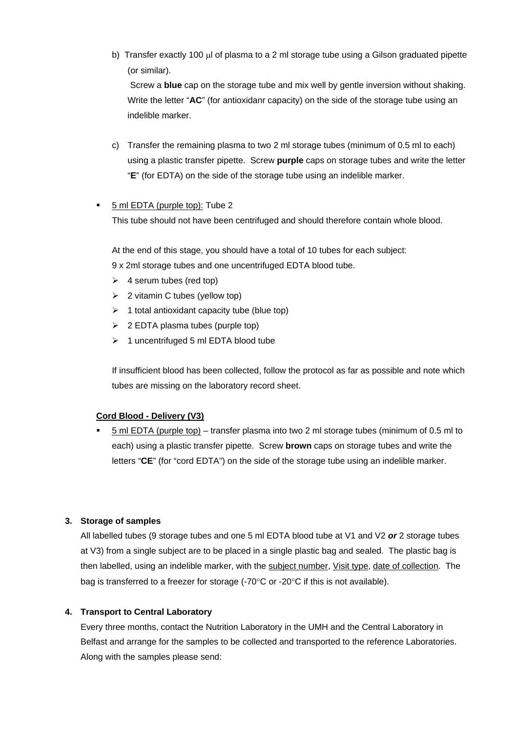- b) Transfer exactly 100 μl of plasma to a 2 ml storage tube using a Gilson graduated pipette (or similar). Screw a **blue** cap on the storage tube and mix well by gentle inversion without shaking. Write the letter "**AC**" (for antioxidanr capacity) on the side of the storage tube using an
- c) Transfer the remaining plasma to two 2 ml storage tubes (minimum of 0.5 ml to each) using a plastic transfer pipette. Screw **purple** caps on storage tubes and write the letter "**E**" (for EDTA) on the side of the storage tube using an indelible marker.

#### 5 ml EDTA (purple top): Tube 2

indelible marker.

This tube should not have been centrifuged and should therefore contain whole blood.

At the end of this stage, you should have a total of 10 tubes for each subject: 9 x 2ml storage tubes and one uncentrifuged EDTA blood tube.

- $\geq 4$  serum tubes (red top)
- $\geq$  2 vitamin C tubes (yellow top)
- $\geq 1$  total antioxidant capacity tube (blue top)
- $\geq$  2 EDTA plasma tubes (purple top)
- ¾ 1 uncentrifuged 5 ml EDTA blood tube

If insufficient blood has been collected, follow the protocol as far as possible and note which tubes are missing on the laboratory record sheet.

#### **Cord Blood - Delivery (V3)**

 5 ml EDTA (purple top) – transfer plasma into two 2 ml storage tubes (minimum of 0.5 ml to each) using a plastic transfer pipette. Screw **brown** caps on storage tubes and write the letters "**CE**" (for "cord EDTA") on the side of the storage tube using an indelible marker.

#### **3. Storage of samples**

All labelled tubes (9 storage tubes and one 5 ml EDTA blood tube at V1 and V2 *or* 2 storage tubes at V3) from a single subject are to be placed in a single plastic bag and sealed. The plastic bag is then labelled, using an indelible marker, with the subject number, Visit type, date of collection. The bag is transferred to a freezer for storage (-70°C or -20°C if this is not available).

#### **4. Transport to Central Laboratory**

Every three months, contact the Nutrition Laboratory in the UMH and the Central Laboratory in Belfast and arrange for the samples to be collected and transported to the reference Laboratories. Along with the samples please send: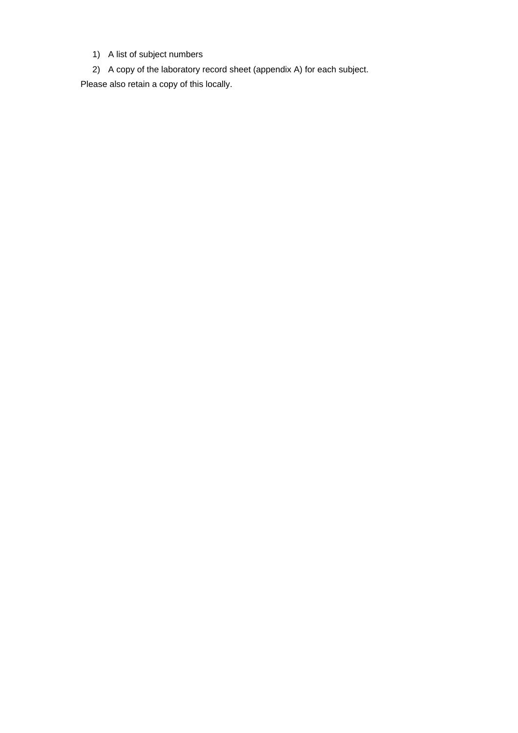- 1) A list of subject numbers
- 2) A copy of the laboratory record sheet (appendix A) for each subject.

Please also retain a copy of this locally.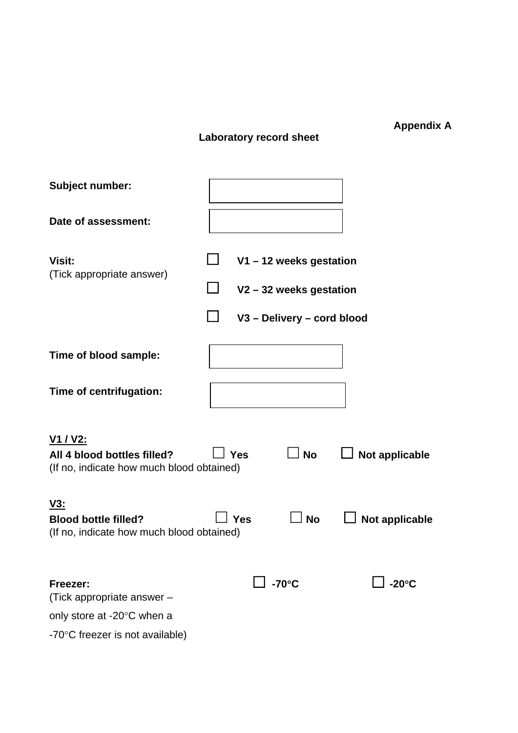# **Laboratory record sheet**

**Appendix A** 

| <b>Subject number:</b>                                                                      |              |                       |                            |                 |
|---------------------------------------------------------------------------------------------|--------------|-----------------------|----------------------------|-----------------|
| Date of assessment:                                                                         |              |                       |                            |                 |
| Visit:<br>(Tick appropriate answer)                                                         |              | V1-12 weeks gestation |                            |                 |
|                                                                                             |              | V2-32 weeks gestation |                            |                 |
|                                                                                             |              |                       | V3 - Delivery - cord blood |                 |
| Time of blood sample:                                                                       |              |                       |                            |                 |
| Time of centrifugation:                                                                     |              |                       |                            |                 |
| <u>V1 / V2:</u><br>All 4 blood bottles filled?<br>(If no, indicate how much blood obtained) |              | <b>Yes</b>            | $\sqcup$ No                | Not applicable  |
| <u>V3:</u><br><b>Blood bottle filled?</b><br>(If no, indicate how much blood obtained)      |              | Yes                   | <b>No</b>                  | Not applicable  |
| Freezer:<br>(Tick appropriate answer -                                                      | $\Box$ -70°C |                       |                            | $-20^{\circ}$ C |
| only store at -20°C when a                                                                  |              |                       |                            |                 |
| -70°C freezer is not available)                                                             |              |                       |                            |                 |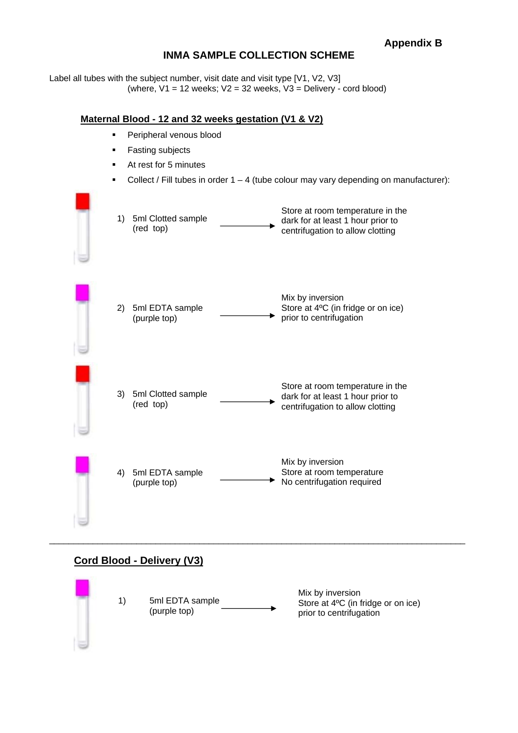# **INMA SAMPLE COLLECTION SCHEME**

Label all tubes with the subject number, visit date and visit type [V1, V2, V3] (where,  $V1 = 12$  weeks;  $V2 = 32$  weeks,  $V3 =$  Delivery - cord blood)

### **Maternal Blood - 12 and 32 weeks gestation (V1 & V2)**

- Peripheral venous blood
- Fasting subjects
- At rest for 5 minutes
- Collect / Fill tubes in order  $1 4$  (tube colour may vary depending on manufacturer):



# **Cord Blood - Delivery (V3)**

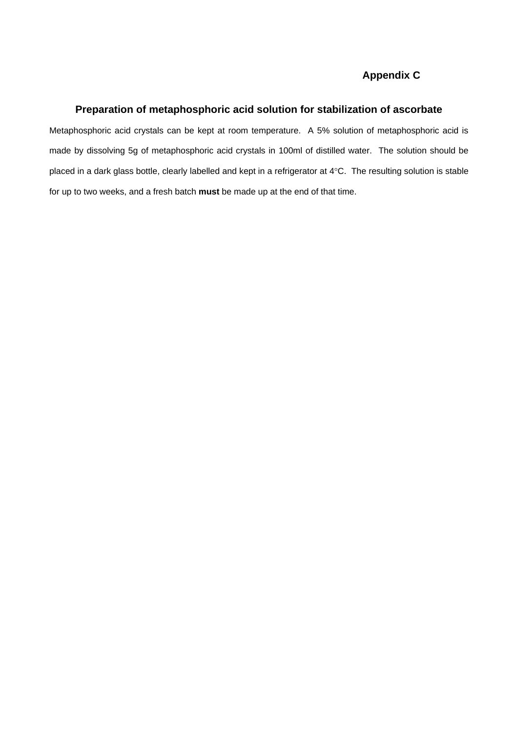# **Appendix C**

#### **Preparation of metaphosphoric acid solution for stabilization of ascorbate**

Metaphosphoric acid crystals can be kept at room temperature. A 5% solution of metaphosphoric acid is made by dissolving 5g of metaphosphoric acid crystals in 100ml of distilled water. The solution should be placed in a dark glass bottle, clearly labelled and kept in a refrigerator at 4°C. The resulting solution is stable for up to two weeks, and a fresh batch **must** be made up at the end of that time.